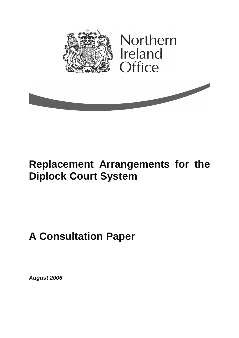

# **Replacement Arrangements for the Diplock Court System**

# **A Consultation Paper**

**August 2006**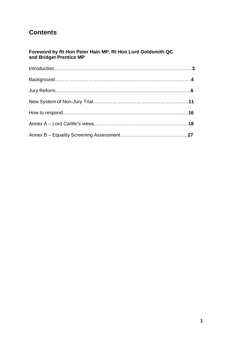# **Contents**

#### **Foreword by Rt Hon Peter Hain MP, Rt Hon Lord Goldsmith QC and Bridget Prentice MP**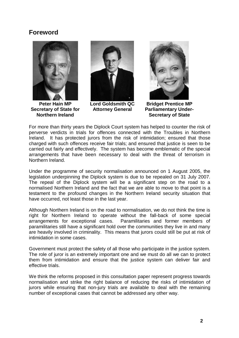# **Foreword**



**Peter Hain MP Secretary of State for Northern Ireland** 



**Lord Goldsmith QC Attorney General** 



**Bridget Prentice MP Parliamentary Under-Secretary of State** 

For more than thirty years the Diplock Court system has helped to counter the risk of perverse verdicts in trials for offences connected with the Troubles in Northern Ireland. It has protected jurors from the risk of intimidation; ensured that those charged with such offences receive fair trials; and ensured that justice is seen to be carried out fairly and effectively. The system has become emblematic of the special arrangements that have been necessary to deal with the threat of terrorism in Northern Ireland.

Under the programme of security normalisation announced on 1 August 2005, the legislation underpinning the Diplock system is due to be repealed on 31 July 2007. The repeal of the Diplock system will be a significant step on the road to a normalised Northern Ireland and the fact that we are able to move to that point is a testament to the profound changes in the Northern Ireland security situation that have occurred, not least those in the last year.

Although Northern Ireland is on the road to normalisation, we do not think the time is right for Northern Ireland to operate without the fall-back of some special arrangements for exceptional cases. Paramilitaries and former members of paramilitaries still have a significant hold over the communities they live in and many are heavily involved in criminality. This means that jurors could still be put at risk of intimidation in some cases.

Government must protect the safety of all those who participate in the justice system. The role of juror is an extremely important one and we must do all we can to protect them from intimidation and ensure that the justice system can deliver fair and effective trials.

We think the reforms proposed in this consultation paper represent progress towards normalisation and strike the right balance of reducing the risks of intimidation of jurors while ensuring that non-jury trials are available to deal with the remaining number of exceptional cases that cannot be addressed any other way.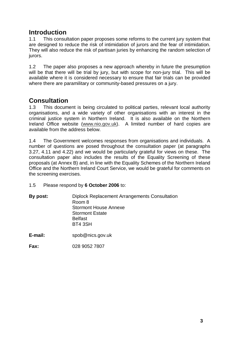# **Introduction**

1.1 This consultation paper proposes some reforms to the current jury system that are designed to reduce the risk of intimidation of jurors and the fear of intimidation. They will also reduce the risk of partisan juries by enhancing the random selection of jurors.

1.2 The paper also proposes a new approach whereby in future the presumption will be that there will be trial by jury, but with scope for non-jury trial. This will be available where it is considered necessary to ensure that fair trials can be provided where there are paramilitary or community-based pressures on a jury.

# **Consultation**

1.3 This document is being circulated to political parties, relevant local authority organisations, and a wide variety of other organisations with an interest in the criminal justice system in Northern Ireland. It is also available on the Northern Ireland Office website (www.nio.gov.uk). A limited number of hard copies are available from the address below.

1.4 The Government welcomes responses from organisations and individuals. A number of questions are posed throughout the consultation paper (at paragraphs 3.27, 4.11 and 4.22) and we would be particularly grateful for views on these. The consultation paper also includes the results of the Equality Screening of these proposals (at Annex B) and, in line with the Equality Schemes of the Northern Ireland Office and the Northern Ireland Court Service, we would be grateful for comments on the screening exercises.

1.5 Please respond by **6 October 2006** to:

| By post: | Diplock Replacement Arrangements Consultation |
|----------|-----------------------------------------------|
|          | Room 8                                        |
|          | <b>Stormont House Annexe</b>                  |
|          | <b>Stormont Estate</b>                        |
|          | <b>Belfast</b>                                |
|          | BT4 3SH                                       |
|          |                                               |

**E-mail:** spob@nics.gov.uk

**Fax:** 028 9052 7807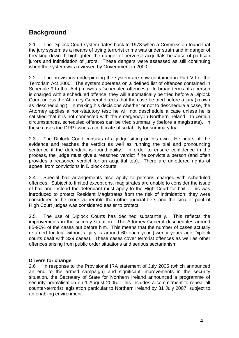# **Background**

2.1 The Diplock Court system dates back to 1973 when a Commission found that the jury system as a means of trying terrorist crime was under strain and in danger of breaking down. It highlighted the danger of perverse acquittals because of partisan jurors and intimidation of jurors. These dangers were assessed as still continuing when the system was reviewed by Government in 2000.

2.2 The provisions underpinning the system are now contained in Part VII of the Terrorism Act 2000. The system operates on a defined list of offences contained in Schedule 9 to that Act (known as 'scheduled offences'). In broad terms, if a person is charged with a scheduled offence, they will automatically be tried before a Diplock Court unless the Attorney General directs that the case be tried before a jury (known as 'descheduling'). In making his decisions whether or not to deschedule a case, the Attorney applies a non-statutory test: he will not deschedule a case unless he is satisfied that it is not connected with the emergency in Northern Ireland. In certain circumstances, scheduled offences can be tried summarily (before a magistrate). In these cases the DPP issues a certificate of suitability for summary trial.

2.3 The Diplock Court consists of a judge sitting on his own. He hears all the evidence and reaches the verdict as well as running the trial and pronouncing sentence if the defendant is found guilty. In order to ensure confidence in the process, the judge must give a reasoned verdict if he convicts a person (and often provides a reasoned verdict for an acquittal too). There are unfettered rights of appeal from convictions in Diplock courts.

2.4 Special bail arrangements also apply to persons charged with scheduled offences. Subject to limited exceptions, magistrates are unable to consider the issue of bail and instead the defendant must apply to the High Court for bail. This was introduced to protect Resident Magistrates from the risk of intimidation: they were considered to be more vulnerable than other judicial tiers and the smaller pool of High Court judges was considered easier to protect.

2.5 The use of Diplock Courts has declined substantially. This reflects the improvements in the security situation. The Attorney General deschedules around 85-90% of the cases put before him. This means that the number of cases actually returned for trial without a jury is around 60 each year (twenty years ago Diplock courts dealt with 329 cases). These cases cover terrorist offences as well as other offences arising from public order situations and serious sectarianism.

#### **Drivers for change**

2.6 In response to the Provisional IRA statement of July 2005 (which announced an end to the armed campaign) and significant improvements in the security situation, the Secretary of State for Northern Ireland announced a programme of security normalisation on 1 August 2005. This includes a commitment to repeal all counter-terrorist legislation particular to Northern Ireland by 31 July 2007, subject to an enabling environment.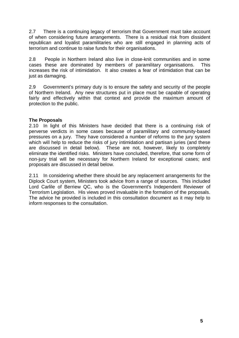2.7 There is a continuing legacy of terrorism that Government must take account of when considering future arrangements. There is a residual risk from dissident republican and loyalist paramilitaries who are still engaged in planning acts of terrorism and continue to raise funds for their organisations.

2.8 People in Northern Ireland also live in close-knit communities and in some cases these are dominated by members of paramilitary organisations. This increases the risk of intimidation. It also creates a fear of intimidation that can be just as damaging.

2.9 Government's primary duty is to ensure the safety and security of the people of Northern Ireland. Any new structures put in place must be capable of operating fairly and effectively within that context and provide the maximum amount of protection to the public.

#### **The Proposals**

2.10 In light of this Ministers have decided that there is a continuing risk of perverse verdicts in some cases because of paramilitary and community-based pressures on a jury. They have considered a number of reforms to the jury system which will help to reduce the risks of jury intimidation and partisan juries (and these are discussed in detail below). These are not, however, likely to completely eliminate the identified risks. Ministers have concluded, therefore, that some form of non-jury trial will be necessary for Northern Ireland for exceptional cases; and proposals are discussed in detail below.

2.11 In considering whether there should be any replacement arrangements for the Diplock Court system, Ministers took advice from a range of sources. This included Lord Carlile of Berriew QC, who is the Government's Independent Reviewer of Terrorism Legislation. His views proved invaluable in the formation of the proposals. The advice he provided is included in this consultation document as it may help to inform responses to the consultation.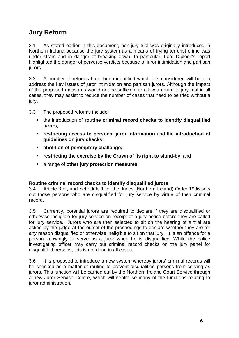# **Jury Reform**

3.1 As stated earlier in this document, non-jury trial was originally introduced in Northern Ireland because the jury system as a means of trying terrorist crime was under strain and in danger of breaking down. In particular, Lord Diplock's report highlighted the danger of perverse verdicts because of juror intimidation and partisan jurors.

3.2 A number of reforms have been identified which it is considered will help to address the key issues of juror intimidation and partisan jurors. Although the impact of the proposed measures would not be sufficient to allow a return to jury trial in all cases, they may assist to reduce the number of cases that need to be tried without a jury.

3.3 The proposed reforms include:

- the introduction of **routine criminal record checks to identify disqualified jurors**;
- **restricting access to personal juror information** and the **introduction of guidelines on jury checks**;
- **abolition of peremptory challenge;**
- **restricting the exercise by the Crown of its right to stand-by**; and
- a range of **other jury protection measures.**

#### **Routine criminal record checks to identify disqualified jurors**

3.4 Article 3 of, and Schedule 1 to, the Juries (Northern Ireland) Order 1996 sets out those persons who are disqualified for jury service by virtue of their criminal record.

3.5 Currently, potential jurors are required to declare if they are disqualified or otherwise ineligible for jury service on receipt of a jury notice before they are called for jury service. Jurors who are then selected to sit on the hearing of a trial are asked by the judge at the outset of the proceedings to declare whether they are for any reason disqualified or otherwise ineligible to sit on that jury. It is an offence for a person knowingly to serve as a juror when he is disqualified. While the police investigating officer may carry out criminal record checks on the jury panel for disqualified persons, this is not done in all cases.

3.6 It is proposed to introduce a new system whereby jurors' criminal records will be checked as a matter of routine to prevent disqualified persons from serving as jurors. This function will be carried out by the Northern Ireland Court Service through a new Juror Service Centre, which will centralise many of the functions relating to juror administration.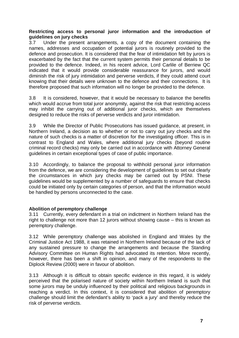#### **Restricting access to personal juror information and the introduction of guidelines on jury checks**

3.7 Under the present arrangements, a copy of the document containing the names, addresses and occupation of potential jurors is routinely provided to the defence and prosecution. It is considered that the fear of intimidation felt by jurors is exacerbated by the fact that the current system permits their personal details to be provided to the defence. Indeed, in his recent advice, Lord Carlile of Berriew QC indicated that it would provide considerable reassurance for jurors, and would diminish the risk of jury intimidation and perverse verdicts, if they could attend court knowing that their details were unknown to the defence and their connections. It is therefore proposed that such information will no longer be provided to the defence.

3.8 It is considered, however, that it would be necessary to balance the benefits which would accrue from total juror anonymity, against the risk that restricting access may inhibit the carrying out of additional juror checks, which are themselves designed to reduce the risks of perverse verdicts and juror intimidation.

3.9 While the Director of Public Prosecutions has issued guidance, at present, in Northern Ireland, a decision as to whether or not to carry out jury checks and the nature of such checks is a matter of discretion for the investigating officer. This is in contrast to England and Wales, where additional jury checks (beyond routine criminal record checks) may only be carried out in accordance with Attorney General guidelines in certain exceptional types of case of public importance.

3.10 Accordingly, to balance the proposal to withhold personal juror information from the defence, we are considering the development of guidelines to set out clearly the circumstances in which jury checks may be carried out by PSNI. These guidelines would be supplemented by a number of safeguards to ensure that checks could be initiated only by certain categories of person, and that the information would be handled by persons unconnected to the case.

#### **Abolition of peremptory challenge**

3.11 Currently, every defendant in a trial on indictment in Northern Ireland has the right to challenge not more than 12 jurors without showing cause – this is known as peremptory challenge.

3.12 While peremptory challenge was abolished in England and Wales by the Criminal Justice Act 1988, it was retained in Northern Ireland because of the lack of any sustained pressure to change the arrangements and because the Standing Advisory Committee on Human Rights had advocated its retention. More recently, however, there has been a shift in opinion, and many of the respondents to the Diplock Review (2000) were in favour of abolition.

3.13 Although it is difficult to obtain specific evidence in this regard, it is widely perceived that the polarised nature of society within Northern Ireland is such that some jurors may be unduly influenced by their political and religious backgrounds in reaching a verdict. In this context, it is considered that abolition of peremptory challenge should limit the defendant's ability to 'pack a jury' and thereby reduce the risk of perverse verdicts.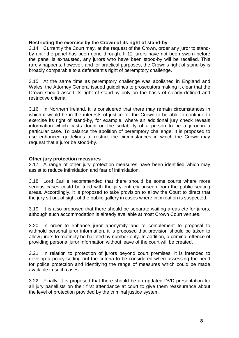#### **Restricting the exercise by the Crown of its right of stand-by**

3.14 Currently the Court may, at the request of the Crown, order any juror to standby until the panel has been gone through. If 12 jurors have not been sworn before the panel is exhausted, any jurors who have been stood-by will be recalled. This rarely happens, however, and for practical purposes, the Crown's right of stand-by is broadly comparable to a defendant's right of peremptory challenge.

3.15 At the same time as peremptory challenge was abolished in England and Wales, the Attorney General issued guidelines to prosecutors making it clear that the Crown should assert its right of stand-by only on the basis of clearly defined and restrictive criteria.

3.16 In Northern Ireland, it is considered that there may remain circumstances in which it would be in the interests of justice for the Crown to be able to continue to exercise its right of stand-by, for example, where an additional jury check reveals information which casts doubt on the suitability of a person to be a juror in a particular case. To balance the abolition of peremptory challenge, it is proposed to use enhanced guidelines to restrict the circumstances in which the Crown may request that a juror be stood-by.

#### **Other jury protection measures**

3.17 A range of other jury protection measures have been identified which may assist to reduce intimidation and fear of intimidation.

3.18 Lord Carlile recommended that there should be some courts where more serious cases could be tried with the jury entirely unseen from the public seating areas. Accordingly, it is proposed to take provision to allow the Court to direct that the jury sit out of sight of the public gallery in cases where intimidation is suspected.

3.19 It is also proposed that there should be separate waiting areas etc for jurors, although such accommodation is already available at most Crown Court venues.

3.20 In order to enhance juror anonymity and to complement to proposal to withhold personal juror information, it is proposed that provision should be taken to allow jurors to routinely be balloted by number only. In addition, a criminal offence of providing personal juror information without leave of the court will be created.

3.21 In relation to protection of jurors beyond court premises, it is intended to develop a policy setting out the criteria to be considered when assessing the need for police protection and identifying the range of measures which could be made available in such cases.

3.22 Finally, it is proposed that there should be an updated DVD presentation for all jury panellists on their first attendance at court to give them reassurance about the level of protection provided by the criminal justice system.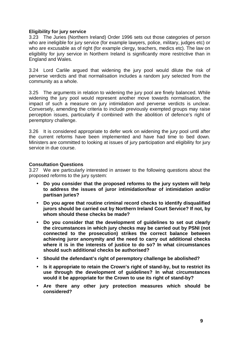#### **Eligibility for jury service**

3.23 The Juries (Northern Ireland) Order 1996 sets out those categories of person who are ineligible for jury service (for example lawyers, police, military, judges etc) or who are excusable as of right (for example clergy, teachers, medics etc). The law on eligibility for jury service in Northern Ireland is significantly more restrictive than in England and Wales.

3.24 Lord Carlile argued that widening the jury pool would dilute the risk of perverse verdicts and that normalisation includes a random jury selected from the community as a whole.

3.25 The arguments in relation to widening the jury pool are finely balanced. While widening the jury pool would represent another move towards normalisation, the impact of such a measure on jury intimidation and perverse verdicts is unclear. Conversely, amending the criteria to include previously exempted groups may raise perception issues, particularly if combined with the abolition of defence's right of peremptory challenge.

3.26 It is considered appropriate to defer work on widening the jury pool until after the current reforms have been implemented and have had time to bed down. Ministers are committed to looking at issues of jury participation and eligibility for jury service in due course.

#### **Consultation Questions**

3.27 We are particularly interested in answer to the following questions about the proposed reforms to the jury system:

- **Do you consider that the proposed reforms to the jury system will help to address the issues of juror intimidation/fear of intimidation and/or partisan juries?**
- **Do you agree that routine criminal record checks to identify disqualified jurors should be carried out by Northern Ireland Court Service? If not, by whom should these checks be made?**
- **Do you consider that the development of guidelines to set out clearly the circumstances in which jury checks may be carried out by PSNI (not connected to the prosecution) strikes the correct balance between achieving juror anonymity and the need to carry out additional checks where it is in the interests of justice to do so? In what circumstances should such additional checks be authorised?**
- **Should the defendant's right of peremptory challenge be abolished?**
- **Is it appropriate to retain the Crown's right of stand-by, but to restrict its use through the development of guidelines? In what circumstances would it be appropriate for the Crown to use its right of stand-by?**
- **Are there any other jury protection measures which should be considered?**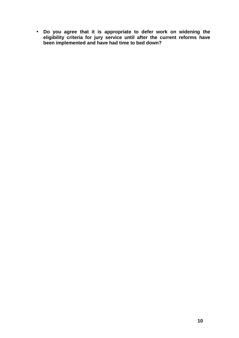• **Do you agree that it is appropriate to defer work on widening the eligibility criteria for jury service until after the current reforms have been implemented and have had time to bed down?**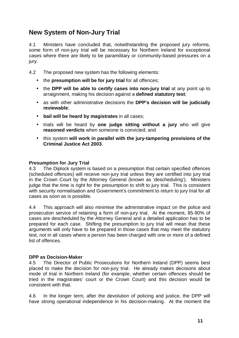# **New System of Non-Jury Trial**

4.1 Ministers have concluded that, notwithstanding the proposed jury reforms, some form of non-jury trial will be necessary for Northern Ireland for exceptional cases where there are likely to be paramilitary or community-based pressures on a jury.

- 4.2 The proposed new system has the following elements:
	- the **presumption will be for jury trial** for all offences;
	- the **DPP will be able to certify cases into non-jury trial** at any point up to arraignment, making his decision against a **defined statutory test**;
	- as with other administrative decisions the **DPP's decision will be judicially reviewable**;
	- **bail will be heard by magistrates** in all cases;
	- trials will be heard by **one judge sitting without a jury** who will give **reasoned verdicts** when someone is convicted; and
	- this system **will work in parallel with the jury-tampering provisions of the Criminal Justice Act 2003**.

#### **Presumption for Jury Trial**

4.3 The Diplock system is based on a presumption that certain specified offences (scheduled offences) will receive non-jury trial unless they are certified into jury trial in the Crown Court by the Attorney General (known as 'descheduling'). Ministers judge that the time is right for the presumption to shift to jury trial. This is consistent with security normalisation and Government's commitment to return to jury trial for all cases as soon as is possible.

4.4 This approach will also minimise the administrative impact on the police and prosecution service of retaining a form of non-jury trial. At the moment, 85-90% of cases are descheduled by the Attorney General and a detailed application has to be prepared for each case. Shifting the presumption to jury trial will mean that these arguments will only have to be prepared in those cases that may meet the statutory test, not in all cases where a person has been charged with one or more of a defined list of offences.

#### **DPP as Decision-Maker**

4.5 The Director of Public Prosecutions for Northern Ireland (DPP) seems best placed to make the decision for non-jury trial. He already makes decisions about mode of trial in Northern Ireland (for example, whether certain offences should be tried in the magistrates' court or the Crown Court) and this decision would be consistent with that.

4.6 In the longer term, after the devolution of policing and justice, the DPP will have strong operational independence in his decision-making. At the moment the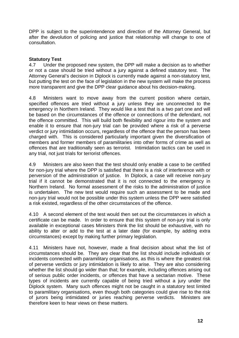DPP is subject to the superintendence and direction of the Attorney General, but after the devolution of policing and justice that relationship will change to one of consultation.

#### **Statutory Test**

4.7 Under the proposed new system, the DPP will make a decision as to whether or not a case should be tried without a jury against a defined statutory test. The Attorney General's decision in Diplock is currently made against a non-statutory test, but putting the test on the face of legislation in the new system will make the process more transparent and give the DPP clear guidance about his decision-making.

4.8 Ministers want to move away from the current position where certain, specified offences are tried without a jury unless they are unconnected to the emergency in Northern Ireland. They would like a test that is a two part one and will be based on the circumstances of the offence or connections of the defendant, not the offence committed. This will build both flexibility and rigour into the system and enable it to ensure that non-jury trial can be provided where a risk of a perverse verdict or jury intimidation occurs, regardless of the offence that the person has been charged with. This is considered particularly important given the diversification of members and former members of paramilitaries into other forms of crime as well as offences that are traditionally seen as terrorist. Intimidation tactics can be used in any trial, not just trials for terrorist offences.

4.9 Ministers are also keen that the test should only enable a case to be certified for non-jury trial where the DPP is satisfied that there is a risk of interference with or perversion of the administration of justice. In Diplock, a case will receive non-jury trial if it cannot be demonstrated that it is not connected to the emergency in Northern Ireland. No formal assessment of the risks to the administration of justice is undertaken. The new test would require such an assessment to be made and non-jury trial would not be possible under this system unless the DPP were satisfied a risk existed, regardless of the other circumstances of the offence.

4.10 A second element of the test would then set out the circumstances in which a certificate can be made. In order to ensure that this system of non-jury trial is only available in exceptional cases Ministers think the list should be exhaustive, with no ability to alter or add to the test at a later date (for example, by adding extra circumstances) except by making further primary legislation.

4.11 Ministers have not, however, made a final decision about what the list of circumstances should be. They are clear that the list should include individuals or incidents connected with paramilitary organisations, as this is where the greatest risk of perverse verdicts or jury intimidation is likely to arise. They are also considering whether the list should go wider than that; for example, including offences arising out of serious public order incidents, or offences that have a sectarian motive. These types of incidents are currently capable of being tried without a jury under the Diplock system. Many such offences might not be caught in a statutory test limited to paramilitary organisations, even though both categories could give rise to the risk of jurors being intimidated or juries reaching perverse verdicts. Ministers are therefore keen to hear views on these matters.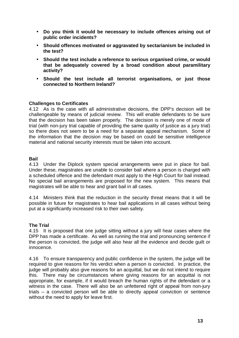- **Do you think it would be necessary to include offences arising out of public order incidents?**
- **Should offences motivated or aggravated by sectarianism be included in the test?**
- **Should the test include a reference to serious organised crime, or would that be adequately covered by a broad condition about paramilitary activity?**
- **Should the test include all terrorist organisations, or just those connected to Northern Ireland?**

#### **Challenges to Certificates**

4.12 As is the case with all administrative decisions, the DPP's decision will be challengeable by means of judicial review. This will enable defendants to be sure that the decision has been taken properly. The decision is merely one of mode of trial (with non-jury trial capable of providing the same quality of justice as a jury trial) so there does not seem to be a need for a separate appeal mechanism. Some of the information that the decision may be based on could be sensitive intelligence material and national security interests must be taken into account.

#### **Bail**

4.13 Under the Diplock system special arrangements were put in place for bail. Under these, magistrates are unable to consider bail where a person is charged with a scheduled offence and the defendant must apply to the High Court for bail instead. No special bail arrangements are proposed for the new system. This means that magistrates will be able to hear and grant bail in all cases.

4.14 Ministers think that the reduction in the security threat means that it will be possible in future for magistrates to hear bail applications in all cases without being put at a significantly increased risk to their own safety.

#### **The Trial**

4.15 It is proposed that one judge sitting without a jury will hear cases where the DPP has made a certificate. As well as running the trial and pronouncing sentence if the person is convicted, the judge will also hear all the evidence and decide guilt or innocence.

4.16 To ensure transparency and public confidence in the system, the judge will be required to give reasons for his verdict when a person is convicted. In practice, the judge will probably also give reasons for an acquittal, but we do not intend to require this. There may be circumstances where giving reasons for an acquittal is not appropriate, for example, if it would breach the human rights of the defendant or a witness in the case. There will also be an unfettered right of appeal from non-jury trials – a convicted person will be able to directly appeal conviction or sentence without the need to apply for leave first.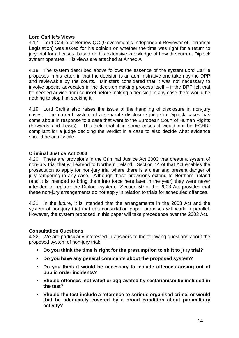#### **Lord Carlile's Views**

4.17 Lord Carlile of Berriew QC (Government's Independent Reviewer of Terrorism Legislation) was asked for his opinion on whether the time was right for a return to jury trial for all cases, based on his extensive knowledge of how the current Diplock system operates. His views are attached at Annex A.

4.18 The system described above follows the essence of the system Lord Carlile proposes in his letter, in that the decision is an administrative one taken by the DPP and reviewable by the courts. Ministers considered that it was not necessary to involve special advocates in the decision making process itself – if the DPP felt that he needed advice from counsel before making a decision in any case there would be nothing to stop him seeking it.

4.19 Lord Carlile also raises the issue of the handling of disclosure in non-jury cases. The current system of a separate disclosure judge in Diplock cases has come about in response to a case that went to the European Court of Human Rights (Edwards and Lewis). This held that it in some cases it would not be ECHRcompliant for a judge deciding the verdict in a case to also decide what evidence should be admissible.

#### **Criminal Justice Act 2003**

4.20 There are provisions in the Criminal Justice Act 2003 that create a system of non-jury trial that will extend to Northern Ireland. Section 44 of that Act enables the prosecution to apply for non-jury trial where there is a clear and present danger of jury tampering in any case. Although these provisions extend to Northern Ireland (and it is intended to bring them into force here later in the year) they were never intended to replace the Diplock system. Section 50 of the 2003 Act provides that these non-jury arrangements do not apply in relation to trials for scheduled offences.

4.21 In the future, it is intended that the arrangements in the 2003 Act and the system of non-jury trial that this consultation paper proposes will work in parallel. However, the system proposed in this paper will take precedence over the 2003 Act.

#### **Consultation Questions**

4.22 We are particularly interested in answers to the following questions about the proposed system of non-jury trial:

- **Do you think the time is right for the presumption to shift to jury trial?**
- **Do you have any general comments about the proposed system?**
- **Do you think it would be necessary to include offences arising out of public order incidents?**
- **Should offences motivated or aggravated by sectarianism be included in the test?**
- **Should the test include a reference to serious organised crime, or would that be adequately covered by a broad condition about paramilitary activity?**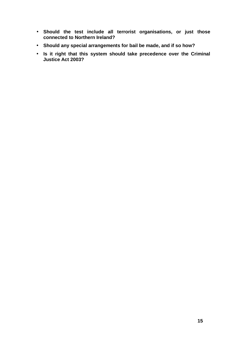- **Should the test include all terrorist organisations, or just those connected to Northern Ireland?**
- **Should any special arrangements for bail be made, and if so how?**
- **Is it right that this system should take precedence over the Criminal Justice Act 2003?**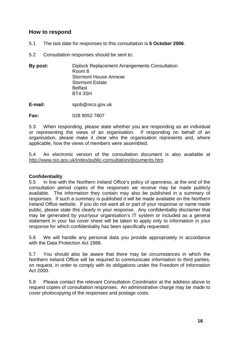### **How to respond**

- 5.1 The last date for responses to this consultation is **5 October 2006**.
- 5.2 Consultation responses should be sent to:
- **By post:** Diplock Replacement Arrangements Consultation Room 8 Stormont House Annexe Stormont Estate Belfast BT4 3SH
- **E-mail:** spob@nics.gov.uk

**Fax:** 028 9052 7807

5.3 When responding, please state whether you are responding as an individual or representing the views of an organisation. If responding on behalf of an organisation, please make it clear who the organisation represents and, where applicable, how the views of members were assembled.

5.4 An electronic version of the consultation document is also available at http://www.nio.gov.uk/index/public-consultation/documents.htm.

#### **Confidentiality**

5.5 In line with the Northern Ireland Office's policy of openness, at the end of the consultation period copies of the responses we receive may be made publicly available. The information they contain may also be published in a summary of responses. If such a summary is published it will be made available on the Northern Ireland Office website. If you do not want all or part of your response or name made public, please state this clearly in your response. Any confidentiality disclaimer that may be generated by your/your organisation's IT system or included as a general statement in your fax cover sheet will be taken to apply only to information in your response for which confidentiality has been specifically requested.

5.6 We will handle any personal data you provide appropriately in accordance with the Data Protection Act 1988.

5.7 You should also be aware that there may be circumstances in which the Northern Ireland Office will be required to communicate information to third parties, on request, in order to comply with its obligations under the Freedom of Information Act 2000.

5.8 Please contact the relevant Consultation Coordinator at the address above to request copies of consultation responses. An administrative charge may be made to cover photocopying of the responses and postage costs.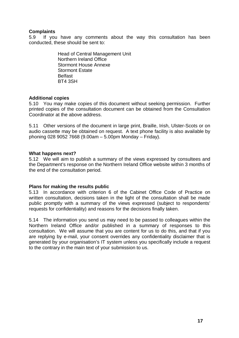#### **Complaints**

5.9 If you have any comments about the way this consultation has been conducted, these should be sent to:

> Head of Central Management Unit Northern Ireland Office Stormont House Annexe Stormont Estate Belfast BT4 3SH

#### **Additional copies**

5.10 You may make copies of this document without seeking permission. Further printed copies of the consultation document can be obtained from the Consultation Coordinator at the above address.

5.11 Other versions of the document in large print, Braille, Irish, Ulster-Scots or on audio cassette may be obtained on request. A text phone facility is also available by phoning 028 9052 7668 (9.00am – 5.00pm Monday – Friday).

#### **What happens next?**

5.12 We will aim to publish a summary of the views expressed by consultees and the Department's response on the Northern Ireland Office website within 3 months of the end of the consultation period.

#### **Plans for making the results public**

5.13 In accordance with criterion 6 of the Cabinet Office Code of Practice on written consultation, decisions taken in the light of the consultation shall be made public promptly with a summary of the views expressed (subject to respondents' requests for confidentiality) and reasons for the decisions finally taken.

5.14 The information you send us may need to be passed to colleagues within the Northern Ireland Office and/or published in a summary of responses to this consultation. We will assume that you are content for us to do this, and that if you are replying by e-mail, your consent overrides any confidentiality disclaimer that is generated by your organisation's IT system unless you specifically include a request to the contrary in the main text of your submission to us.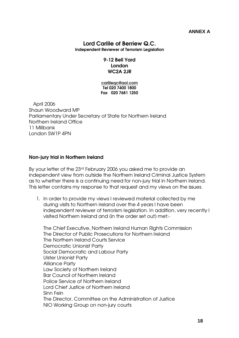### Lord Carlile of Berriew Q.C.

Independent Reviewer of Terrorism Legislation

#### 9-12 Bell Yard London WC2A 2JR

carlileqc@aol.com Tel 020 7400 1800 Fax 020 7681 1250

 April 2006 Shaun Woodward MP Parliamentary Under Secretary of State for Northern Ireland Northern Ireland Office 11 Millbank London SW1P 4PN

#### Non-jury trial in Northern Ireland

By your letter of the 23rd February 2006 you asked me to provide an independent view from outside the Northern Ireland Criminal Justice System as to whether there is a continuing need for non-jury trial in Northern Ireland. This letter contains my response to that request and my views on the issues.

1. In order to provide my views I reviewed material collected by me during visits to Northern Ireland over the 4 years I have been independent reviewer of terrorism legislation. In addition, very recently I visited Northern Ireland and (in the order set out) met:-

The Chief Executive, Northern Ireland Human Rights Commission The Director of Public Prosecutions for Northern Ireland The Northern Ireland Courts Service Democratic Unionist Party Social Democratic and Labour Party Ulster Unionist Party Alliance Party Law Society of Northern Ireland Bar Council of Northern Ireland Police Service of Northern Ireland Lord Chief Justice of Northern Ireland Sinn Fein The Director, Committee on the Administration of Justice NIO Working Group on non-jury courts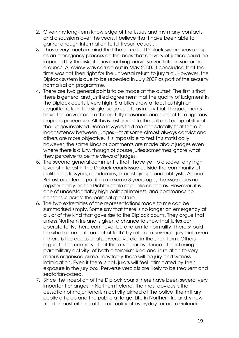- 2. Given my long-term knowledge of the issues and my many contacts and discussions over the years, I believe that I have been able to garner enough information to fulfil your request.
- 3. I have very much in mind that the so-called Diplock system was set up as an emergency process on the basis that delivery of justice could be impeded by the risk of juries reaching perverse verdicts on sectarian grounds. A review was carried out in May 2000. It concluded that the time was not then right for the universal return to jury trial. However, the Diplock system is due to be repealed in July 2007 as part of the security normalisation programme.
- 4. There are two general points to be made at the outset. The first is that there is general and justified agreement that the quality of judgment in the Diplock courts is very high. Statistics show at least as high an acquittal rate in the single judge courts as in jury trial. The judgments have the advantage of being fully reasoned and subject to a rigorous appeals procedure. All this is testament to the skill and adaptability of the judges involved. Some lawyers told me anecdotally that there is inconsistency between judges – that some almost always convict and others are more objective. It is impossible to test this statistically: however, the same kinds of comments are made about judges even where there is a jury, though of course juries sometimes ignore what they perceive to be the views of judges.
- 5. The second general comment is that I have yet to discover any high level of interest in the Diplock courts issue outside the community of politicians, lawyers, academics, interest groups and lobbyists. As one Belfast academic put it to me some 3 years ago, the issue does not register highly on the Richter scale of public concerns. However, it is one of understandably high political interest, and commands no consensus across the political spectrum.
- 6. The two extremities of the representations made to me can be summarised simply. Some say that there is no longer an emergency at all, or of the kind that gave rise to the Diplock courts. They argue that unless Northern Ireland is given a chance to show that juries can operate fairly, there can never be a return to normality. There should be what some call 'an act of faith' by return to universal jury trial, even if there is the occasional perverse verdict in the short term. Others argue to the contrary - that there is clear evidence of continuing paramilitary activity, of both a terrorism kind and in relation to very serious organised crime. Inevitably there will be jury and witness intimidation. Even if there is not, jurors will feel intimidated by their exposure in the jury box. Perverse verdicts are likely to be frequent and sectarian-based.
- 7. Since the inception of the Diplock courts there have been several very important changes in Northern Ireland. The most obvious is the cessation of major terrorism activity aimed at the police, the military public officials and the public at large. Life in Northern Ireland is now free for most citizens of the actuality of everyday terrorism violence,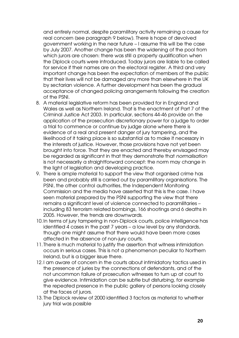and entirely normal, despite paramilitary activity remaining a cause for real concern (see paragraph 9 below). There is hope of devolved government working in the near future – I assume this will be the case by July 2007. Another change has been the widening of the pool from which jurors are chosen: there was still a property qualification when the Diplock courts were introduced. Today jurors are liable to be called for service if their names are on the electoral register. A third and very important change has been the expectation of members of the public that their lives will not be damaged any more than elsewhere in the UK by sectarian violence. A further development has been the gradual acceptance of changed policing arrangements following the creation of the PSNI.

- 8. A material legislative reform has been provided for in England and Wales as well as Northern Ireland. That is the enactment of Part 7 of the Criminal Justice Act 2003. In particular, sections 44-46 provide on the application of the prosecution discretionary power for a judge to order a trial to commence or continue by judge alone where there is evidence of a real and present danger of jury tampering, and the likelihood of it taking place is so substantial as to make it necessary in the interests of justice. However, those provisions have not yet been brought into force. That they are enacted and thereby envisaged may be regarded as significant in that they demonstrate that normalisation is not necessarily a straightforward concept: the norm may change in the light of legislation and developing practice.
- 9. There is ample material to support the view that organised crime has been and probably still is carried out by paramilitary organisations. The PSNI, the other control authorities, the Independent Monitoring Commission and the media have asserted that this is the case. I have seen material prepared by the PSNI supporting the view that there remains a significant level of violence connected to paramilitaries – including 83 terrorism related bombings, 166 shootings and 6 deaths in 2005. However, the trends are downwards.
- 10.In terms of jury tampering in non-Diplock courts, police intelligence has identified 4 cases in the past 7 years – a low level by any standards, though one might assume that there would have been more cases affected in the absence of non-jury courts.
- 11.There is much material to justify the assertion that witness intimidation occurs in serious cases. This is not a phenomenon peculiar to Northern Ireland, but is a bigger issue there.
- 12.I am aware of concern in the courts about intimidatory tactics used in the presence of juries by the connections of defendants, and of the not uncommon failure of prosecution witnesses to turn up at court to give evidence. Intimidation can be subtle but disturbing, for example the repeated presence in the public gallery of persons looking closely at the faces of jurors.
- 13.The Diplock review of 2000 identified 3 factors as material to whether jury trial was possible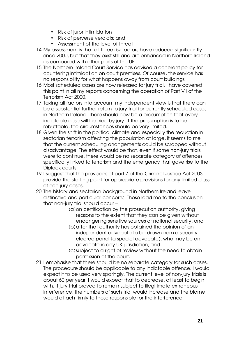- Risk of juror intimidation
- Risk of perverse verdicts; and
- Assessment of the level of threat
- 14. My assessment is that all three risk factors have reduced significantly since 2000, but that they exist still and are enhanced in Northern Ireland as compared with other parts of the UK.
- 15.The Northern Ireland Court Service has devised a coherent policy for countering intimidation on court premises. Of course, the service has no responsibility for what happens away from court buildings.
- 16.Most scheduled cases are now released for jury trial. I have covered this point in all my reports concerning the operation of Part VII of the Terrorism Act 2000.
- 17.Taking all factors into account my independent view is that there can be a substantial further return to jury trial for currently scheduled cases in Northern Ireland. There should now be a presumption that every indictable case will be tried by jury. If the presumption is to be rebuttable, the circumstances should be very limited.
- 18.Given the shift in the political climate and especially the reduction in sectarian terrorism affecting the population at large, it seems to me that the current scheduling arrangements could be scrapped without disadvantage. The effect would be that, even if some non-jury trials were to continue, there would be no separate category of offences specifically linked to terrorism and the emergency that gave rise to the Diplock courts.
- 19.I suggest that the provisions of part 7 of the Criminal Justice Act 2003 provide the starting point for appropriate provisions for any limited class of non-jury cases.
- 20.The history and sectarian background in Northern Ireland leave distinctive and particular concerns. These lead me to the conclusion that non-jury trial should occur –
	- (a)on certification by the prosecution authority, giving reasons to the extent that they can be given without endangering sensitive sources or national security, and
	- (b)after that authority has obtained the opinion of an independent advocate to be drawn from a security cleared panel (a special advocate), who may be an advocate in any UK jurisdiction, and
	- (c)subject to a right of review without the need to obtain permission of the court.
- 21.I emphasise that there should be no separate category for such cases. The procedure should be applicable to any indictable offence. I would expect it to be used very sparingly. The current level of non-jury trials is about 60 per year: I would expect that to decrease, at least to begin with. If jury trial proved to remain subject to illegitimate extraneous interference, the numbers of such trial would increase and the blame would attach firmly to those responsible for the interference.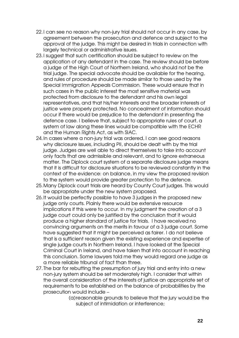- 22.I can see no reason why non-jury trial should not occur in any case, by agreement between the prosecution and defence and subject to the approval of the judge. This might be desired in trials in connection with largely technical or administrative issues.
- 23.I suggest that such certification should be subject to review on the application of any defendant in the case. The review should be before a judge of the High Court of Northern Ireland, who should not be the trial judge. The special advocate should be available for the hearing, and rules of procedure should be made similar to those used by the Special Immigration Appeals Commission. These would ensure that in such cases in the public interest the most sensitive material was protected from disclosure to the defendant and his own legal representatives, and that his/her interests and the broader interests of justice were properly protected. No concealment of information should occur if there would be prejudice to the defendant in presenting the defence case. I believe that, subject to appropriate rules of court, a system of law along these lines would be compatible with the ECHR and the Human Rights Act, as with SIAC.
- 24.In cases where a non-jury trial was ordered, I can see good reasons why disclosure issues, including PII, should be dealt with by the trial judge. Judges are well able to direct themselves to take into account only facts that are admissible and relevant, and to ignore extraneous matter. The Diplock court system of a separate disclosure judge means that it is difficult for disclosure situations to be reviewed constantly in the context of the evidence: on balance, in my view the proposed revision to the system would provide greater protection to the defence.
- 25.Many Diplock court trials are heard by County Court judges. This would be appropriate under the new system proposed.
- 26.It would be perfectly possible to have 3 judges in the proposed new judge only courts. Plainly there would be extensive resource implications if this were to occur. In my judgment the creation of a 3 judge court could only be justified by the conclusion that it would produce a higher standard of justice for trials. I have received no convincing arguments on the merits in favour of a 3 judge court. Some have suggested that it might be perceived as fairer. I do not believe that is a sufficient reason given the existing experience and expertise of single judge courts in Northern Ireland. I have looked at the Special Criminal Court in Ireland, and have taken that into account in reaching this conclusion. Some lawyers told me they would regard one judge as a more reliable tribunal of fact than three.
- 27.The bar for rebutting the presumption of jury trial and entry into a new non-jury system should be set moderately high. I consider that within the overall consideration of the interests of justice an appropriate set of requirements to be established on the balance of probabilities by the prosecution would include –
	- (a)reasonable grounds to believe that the jury would be the subject of intimidation or interference;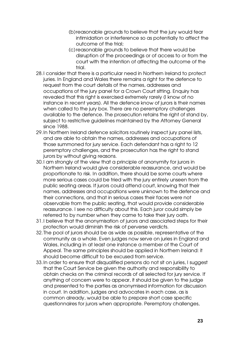- (b)reasonable grounds to believe that the jury would fear intimidation or interference so as potentially to affect the outcome of the trial;
- (c)reasonable grounds to believe that there would be disruption of the proceedings or of access to or from the court with the intention of affecting the outcome of the trial.
- 28.I consider that there is a particular need in Northern Ireland to protect juries. In England and Wales there remains a right for the defence to request from the court details of the names, addresses and occupations of the jury panel for a Crown Court sitting. Enquiry has revealed that this right is exercised extremely rarely (I know of no instance in recent years). All the defence know of jurors is their names when called to the jury box. There are no peremptory challenges available to the defence. The prosecution retains the right of stand by, subject to restrictive guidelines maintained by the Attorney General since 1988.
- 29.In Northern Ireland defence solicitors routinely inspect jury panel lists, and are able to obtain the names, addresses and occupations of those summoned for jury service. Each defendant has a right to 12 peremptory challenges, and the prosecution has the right to stand jurors by without giving reasons.
- 30.I am strongly of the view that a principle of anonymity for jurors in Northern Ireland would give considerable reassurance, and would be proportionate to risk. In addition, there should be some courts where more serious cases could be tried with the jury entirely unseen from the public seating areas. If jurors could attend court, knowing that their names, addresses and occupations were unknown to the defence and their connections, and that in serious cases their faces were not observable from the public seating, that would provide considerable reassurance. I see no difficulty about this. Each juror could simply be referred to by number when they came to take their jury oath.
- 31.I believe that the anonymisation of jurors and associated steps for their protection would diminish the risk of perverse verdicts.
- 32.The pool of jurors should be as wide as possible, representative of the community as a whole. Even judges now serve on juries in England and Wales, including in at least one instance a member of the Court of Appeal. The same principles should be applied in Northern Ireland: it should become difficult to be excused from service.
- 33.In order to ensure that disqualified persons do not sit on juries, I suggest that the Court Service be given the authority and responsibility to obtain checks on the criminal records of all selected for jury service. If anything of concern were to appear, it should be given to the judge and presented to the parties as anonymised information for discussion in court. In addition, judges and advocates in each case, as is common already, would be able to prepare short case specific questionnaires for jurors when appropriate. Peremptory challenges,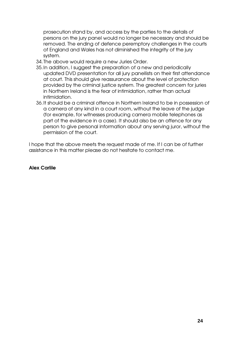prosecution stand by, and access by the parties to the details of persons on the jury panel would no longer be necessary and should be removed. The ending of defence peremptory challenges in the courts of England and Wales has not diminished the integrity of the jury system.

- 34.The above would require a new Juries Order.
- 35.In addition, I suggest the preparation of a new and periodically updated DVD presentation for all jury panellists on their first attendance at court. This should give reassurance about the level of protection provided by the criminal justice system. The greatest concern for juries in Northern Ireland is the fear of intimidation, rather than actual intimidation.
- 36.It should be a criminal offence in Northern Ireland to be in possession of a camera of any kind in a court room, without the leave of the judge (for example, for witnesses producing camera mobile telephones as part of the evidence in a case). It should also be an offence for any person to give personal information about any serving juror, without the permission of the court.

I hope that the above meets the request made of me. If I can be of further assistance in this matter please do not hesitate to contact me.

Alex Carlile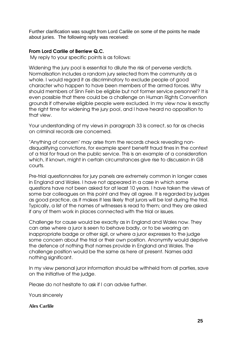Further clarification was sought from Lord Carlile on some of the points he made about juries. The following reply was received:

#### From Lord Carlile of Berriew Q.C.

My reply to your specific points is as follows:

Widening the jury pool is essential to dilute the risk of perverse verdicts. Normalisation includes a random jury selected from the community as a whole. I would regard it as discriminatory to exclude people of good character who happen to have been members of the armed forces. Why should members of Sinn Fein be eligible but not former service personnel? It is even possible that there could be a challenge on Human Rights Convention grounds if otherwise eligible people were excluded. In my view now is exactly the right time for widening the jury pool, and I have heard no opposition to that view.

Your understanding of my views in paragraph 33 is correct, so far as checks on criminal records are concerned.

"Anything of concern" may arise from the records check revealing nondisqualifying convictions, for example spent benefit fraud fines in the context of a trial for fraud on the public service. This is an example of a consideration which, if known, might in certain circumstances give rise to discussion in GB courts.

Pre-trial questionnaires for jury panels are extremely common in longer cases in England and Wales. I have not appeared in a case in which some questions have not been asked for at least 10 years. I have taken the views of some bar colleagues on this point and they all agree. It is regarded by judges as good practice, as it makes it less likely that jurors will be lost during the trial. Typically, a list of the names of witnesses is read to them; and they are asked if any of them work in places connected with the trial or issues.

Challenge for cause would be exactly as in England and Wales now. They can arise where a juror is seen to behave badly, or to be wearing an inappropriate badge or other sigil, or where a juror expresses to the judge some concern about the trial or their own position. Anonymity would deprive the defence of nothing that names provide in England and Wales. The challenge position would be the same as here at present. Names add nothing significant.

In my view personal juror information should be withheld from all parties, save on the initiative of the judge.

Please do not hesitate to ask if I can advise further.

Yours sincerely

#### **Alex Carlile**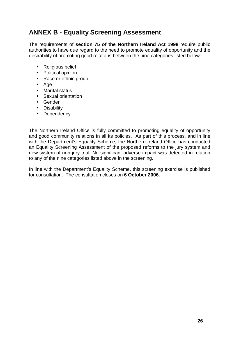# **ANNEX B - Equality Screening Assessment**

The requirements of **section 75 of the Northern Ireland Act 1998** require public authorities to have due regard to the need to promote equality of opportunity and the desirability of promoting good relations between the nine categories listed below:

- Religious belief
- Political opinion
- Race or ethnic group
- Age
- Marital status
- Sexual orientation
- Gender
- Disability
- Dependency

The Northern Ireland Office is fully committed to promoting equality of opportunity and good community relations in all its policies. As part of this process, and in line with the Department's Equality Scheme, the Northern Ireland Office has conducted an Equality Screening Assessment of the proposed reforms to the jury system and new system of non-jury trial. No significant adverse impact was detected in relation to any of the nine categories listed above in the screening.

In line with the Department's Equality Scheme, this screening exercise is published for consultation. The consultation closes on **6 October 2006**.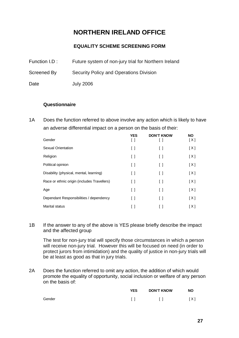# **NORTHERN IRELAND OFFICE**

### **EQUALITY SCHEME SCREENING FORM**

- Function I.D : Future system of non-jury trial for Northern Ireland
- Screened By Security Policy and Operations Division
- Date July 2006

#### **Questionnaire**

1A Does the function referred to above involve any action which is likely to have an adverse differential impact on a person on the basis of their:

| Gender                                      | <b>YES</b><br>[]       | <b>DON'T KNOW</b> | <b>NO</b><br>[X] |
|---------------------------------------------|------------------------|-------------------|------------------|
| Sexual Orientation                          | $\lceil$ $\rceil$      | $\Box$            | [X]              |
| Religion                                    | $\lceil$ $\rceil$      | $\lceil$ 1        | [X]              |
| Political opinion                           | $\Box$                 | $\Box$            | [X]              |
| Disability (physical, mental, learning)     | $\left[ \quad \right]$ | $\lceil$ $\rceil$ | [X]              |
| Race or ethnic origin (includes Travellers) | $\Box$                 | Ιl                | [X]              |
| Age                                         | $\left[ \quad \right]$ | Ιl                | [X]              |
| Dependant Responsibilities / dependency     | $\lceil$ 1             | $\lceil$ $\rceil$ | [X]              |
| <b>Marital status</b>                       |                        |                   | [X]              |

1B If the answer to any of the above is YES please briefly describe the impact and the affected group

The test for non-jury trial will specify those circumstances in which a person will receive non-jury trial. However this will be focused on need (in order to protect jurors from intimidation) and the quality of justice in non-jury trials will be at least as good as that in jury trials.

2A Does the function referred to omit any action, the addition of which would promote the equality of opportunity, social inclusion or welfare of any person on the basis of:

|        | <b>YES</b> | <b>DON'T KNOW</b> | <b>NO</b> |
|--------|------------|-------------------|-----------|
| Gender | - 11       | $\Box$            | [ X ]     |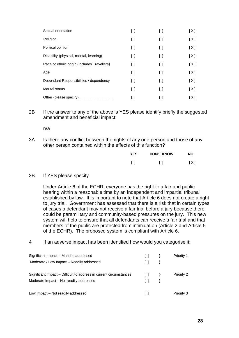| Sexual orientation                          | Γl                                      | $\left[ \quad \right]$                  | [X]   |
|---------------------------------------------|-----------------------------------------|-----------------------------------------|-------|
| Religion                                    | $\lceil$ $\rceil$                       | $\left[ \quad \right]$                  | [X]   |
| Political opinion                           | $\begin{smallmatrix} \end{smallmatrix}$ | $\begin{smallmatrix} \end{smallmatrix}$ | [X]   |
| Disability (physical, mental, learning)     | $\Box$                                  | $\left[ \quad \right]$                  | [X]   |
| Race or ethnic origin (includes Travellers) | $\Box$                                  | $\Box$                                  | [X]   |
| Age                                         | $\left[ \ \right]$                      | $\begin{smallmatrix} \end{smallmatrix}$ | [X]   |
| Dependant Responsibilities / dependency     | ſΙ                                      | $\Box$                                  | [X]   |
| Marital status                              | $\lceil$ $\rceil$                       | $\left[ \quad \right]$                  | [X]   |
| Other (please specify)                      |                                         |                                         | [ X ] |

2B If the answer to any of the above is YES please identify briefly the suggested amendment and beneficial impact:

n/a

3A Is there any conflict between the rights of any one person and those of any other person contained within the effects of this function?

| <b>YES</b> | <b>DON'T KNOW</b> | <b>NO</b> |
|------------|-------------------|-----------|
|            | $\Box$            | [X]       |

#### 3B If YES please specify

Under Article 6 of the ECHR, everyone has the right to a fair and public hearing within a reasonable time by an independent and impartial tribunal established by law. It is important to note that Article 6 does not create a right to jury trial. Government has assessed that there is a risk that in certain types of cases a defendant may not receive a fair trial before a jury because there could be paramilitary and community-based pressures on the jury. This new system will help to ensure that all defendants can receive a fair trial and that members of the public are protected from intimidation (Article 2 and Article 5 of the ECHR). The proposed system is compliant with Article 6.

4 If an adverse impact has been identified how would you categorise it:

| Significant Impact – Must be addressed                             | $\Box$                                | Priority 1 |
|--------------------------------------------------------------------|---------------------------------------|------------|
| Moderate / Low Impact – Readily addressed                          | $\Box$                                |            |
| Significant Impact – Difficult to address in current circumstances | $\begin{pmatrix} 1 & 1 \end{pmatrix}$ | Priority 2 |
| Moderate Impact – Not readily addressed                            |                                       |            |
| Low Impact – Not readily addressed                                 |                                       | Priority 3 |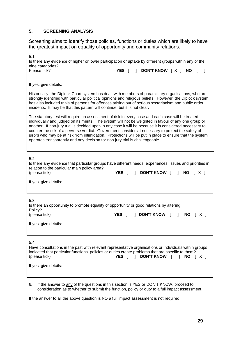#### **5. SCREENING ANALYSIS**

Screening aims to identify those policies, functions or duties which are likely to have the greatest impact on equality of opportunity and community relations.

| 5.1                                                                                                                                                                                                                                                                                                                                                                                                                                                                                                                                                                                                                   |  |                              |  |  |
|-----------------------------------------------------------------------------------------------------------------------------------------------------------------------------------------------------------------------------------------------------------------------------------------------------------------------------------------------------------------------------------------------------------------------------------------------------------------------------------------------------------------------------------------------------------------------------------------------------------------------|--|------------------------------|--|--|
| Is there any evidence of higher or lower participation or uptake by different groups within any of the                                                                                                                                                                                                                                                                                                                                                                                                                                                                                                                |  |                              |  |  |
| nine categories?                                                                                                                                                                                                                                                                                                                                                                                                                                                                                                                                                                                                      |  |                              |  |  |
| Please tick?                                                                                                                                                                                                                                                                                                                                                                                                                                                                                                                                                                                                          |  | YES [ ] DON'T KNOW [X ] NO [ |  |  |
|                                                                                                                                                                                                                                                                                                                                                                                                                                                                                                                                                                                                                       |  |                              |  |  |
| If yes, give details:                                                                                                                                                                                                                                                                                                                                                                                                                                                                                                                                                                                                 |  |                              |  |  |
| Historically, the Diplock Court system has dealt with members of paramilitary organisations, who are<br>strongly identified with particular political opinions and religious beliefs. However, the Diplock system<br>has also included trials of persons for offences arising out of serious sectarianism and public order<br>incidents. It may be that this pattern will continue, but it is not clear.                                                                                                                                                                                                              |  |                              |  |  |
| The statutory test will require an assessment of risk in every case and each case will be treated<br>individually and judged on its merits. The system will not be weighted in favour of any one group or<br>another. If non-jury trial is decided upon in any case it will be because it is considered necessary to<br>counter the risk of a perverse verdict. Government considers it necessary to protect the safety of<br>jurors who may be at risk from intimidation. Protections will be put in place to ensure that the system<br>operates transparently and any decision for non-jury trial is challengeable. |  |                              |  |  |
|                                                                                                                                                                                                                                                                                                                                                                                                                                                                                                                                                                                                                       |  |                              |  |  |

5.2

| Is there any evidence that particular groups have different needs, experiences, issues and priorities in<br>relation to the particular main policy area? |       |                                |  |  |  |
|----------------------------------------------------------------------------------------------------------------------------------------------------------|-------|--------------------------------|--|--|--|
| (please tick)                                                                                                                                            | YES I | <b>DON'T KNOW</b> [ ] NO [ X ] |  |  |  |
| If yes, give details:                                                                                                                                    |       |                                |  |  |  |
|                                                                                                                                                          |       |                                |  |  |  |

5.3

| v.v                                                                                      |       |  |                       |  |        |  |
|------------------------------------------------------------------------------------------|-------|--|-----------------------|--|--------|--|
| Is there an opportunity to promote equality of opportunity or good relations by altering |       |  |                       |  |        |  |
| Policy?                                                                                  |       |  |                       |  |        |  |
| (please tick)                                                                            | YES I |  | <b>DON'T KNOW</b> [ ] |  | NO TXI |  |
|                                                                                          |       |  |                       |  |        |  |
| If yes, give details:                                                                    |       |  |                       |  |        |  |
|                                                                                          |       |  |                       |  |        |  |
|                                                                                          |       |  |                       |  |        |  |

5.4

| Have consultations in the past with relevant representative organisations or individuals within groups<br>indicated that particular functions, policies or duties create problems that are specific to them? |       |                       |  |  |
|--------------------------------------------------------------------------------------------------------------------------------------------------------------------------------------------------------------|-------|-----------------------|--|--|
| (please tick)<br>If yes, give details:                                                                                                                                                                       | YES I | DON'T KNOW     NO   X |  |  |
|                                                                                                                                                                                                              |       |                       |  |  |

6. If the answer to any of the questions in this section is YES or DON'T KNOW, proceed to consideration as to whether to submit the function, policy or duty to a full impact assessment.

If the answer to all the above question is NO a full impact assessment is not required.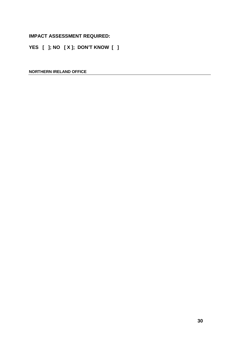#### **IMPACT ASSESSMENT REQUIRED:**

**YES [ ]; NO [ X ]; DON'T KNOW [ ]** 

**NORTHERN IRELAND OFFICE**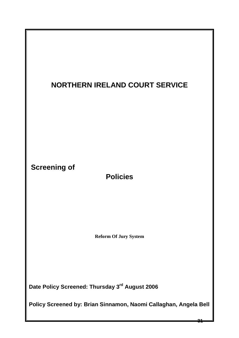

**Policy Screened by: Brian Sinnamon, Naomi Callaghan, Angela Bell** 

**31**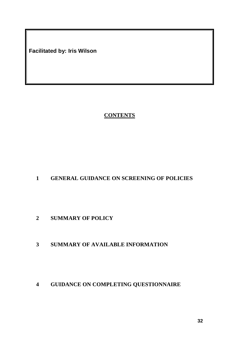**Facilitated by: Iris Wilson** 

# **CONTENTS**

# **GENERAL GUIDANCE ON SCREENING OF POLICIES**

**SUMMARY OF POLICY** 

## **SUMMARY OF AVAILABLE INFORMATION**

**GUIDANCE ON COMPLETING QUESTIONNAIRE**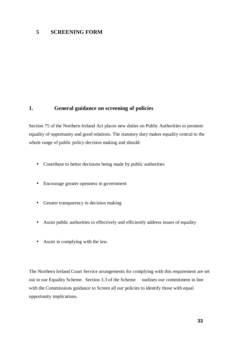#### **5 SCREENING FORM**

### **1. General guidance on screening of policies**

Section 75 of the Northern Ireland Act places new duties on Public Authorities to promote equality of opportunity and good relations. The statutory duty makes equality central to the whole range of public policy decision making and should:

- Contribute to better decisions being made by public authorities
- Encourage greater openness in government
- Greater transparency in decision making
- Assist public authorities to effectively and efficiently address issues of equality
- Assist in complying with the law.

The Northern Ireland Court Service arrangements for complying with this requirement are set out in our Equality Scheme. Section 3.3 of the Scheme outlines our commitment in line with the Commissions guidance to Screen all our policies to identify those with equal opportunity implications.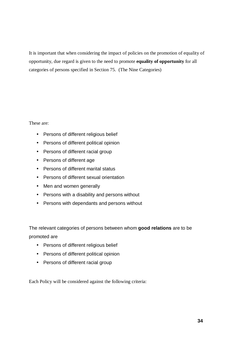It is important that when considering the impact of policies on the promotion of equality of opportunity, due regard is given to the need to promote **equality of opportunity** for all categories of persons specified in Section 75. (The Nine Categories)

These are:

- Persons of different religious belief
- Persons of different political opinion
- Persons of different racial group
- Persons of different age
- Persons of different marital status
- Persons of different sexual orientation
- Men and women generally
- Persons with a disability and persons without
- Persons with dependants and persons without

The relevant categories of persons between whom **good relations** are to be promoted are

- Persons of different religious belief
- Persons of different political opinion
- Persons of different racial group

Each Policy will be considered against the following criteria: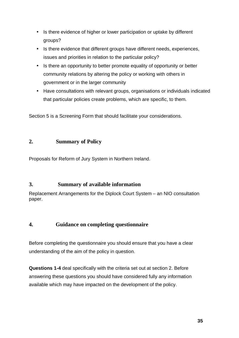- Is there evidence of higher or lower participation or uptake by different groups?
- Is there evidence that different groups have different needs, experiences, issues and priorities in relation to the particular policy?
- Is there an opportunity to better promote equality of opportunity or better community relations by altering the policy or working with others in government or in the larger community
- Have consultations with relevant groups, organisations or individuals indicated that particular policies create problems, which are specific, to them.

Section 5 is a Screening Form that should facilitate your considerations.

### **2. Summary of Policy**

Proposals for Reform of Jury System in Northern Ireland.

### **3. Summary of available information**

Replacement Arrangements for the Diplock Court System – an NIO consultation paper.

## **4. Guidance on completing questionnaire**

Before completing the questionnaire you should ensure that you have a clear understanding of the aim of the policy in question.

**Questions 1-4** deal specifically with the criteria set out at section 2. Before answering these questions you should have considered fully any information available which may have impacted on the development of the policy.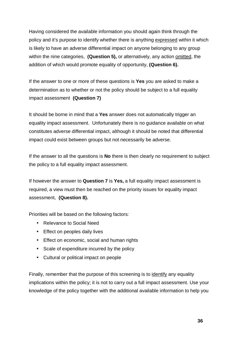Having considered the available information you should again think through the policy and it's purpose to identify whether there is anything expressed within it which is likely to have an adverse differential impact on anyone belonging to any group within the nine categories, **(Question 5)**, or alternatively, any action omitted, the addition of which would promote equality of opportunity, **(Question 6).**

If the answer to one or more of these questions is **Yes** you are asked to make a determination as to whether or not the policy should be subject to a full equality impact assessment **(Question 7)**

It should be borne in mind that a **Yes** answer does not automatically trigger an equality impact assessment. Unfortunately there is no guidance available on what constitutes adverse differential impact, although it should be noted that differential impact could exist between groups but not necessarily be adverse.

If the answer to all the questions is **No** there is then clearly no requirement to subject the policy to a full equality impact assessment.

If however the answer to **Question 7** is **Yes,** a full equality impact assessment is required, a view must then be reached on the priority issues for equality impact assessment, **(Question 8).** 

Priorities will be based on the following factors:

- Relevance to Social Need
- Effect on peoples daily lives
- Effect on economic, social and human rights
- Scale of expenditure incurred by the policy
- Cultural or political impact on people

Finally, remember that the purpose of this screening is to identify any equality implications within the policy; it is not to carry out a full impact assessment. Use your knowledge of the policy together with the additional available information to help you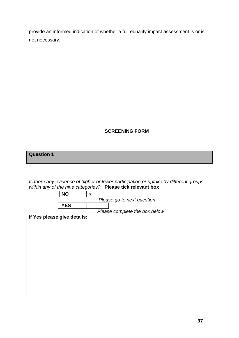provide an informed indication of whether a full equality impact assessment is or is not necessary.

### **SCREENING FORM**

**Question 1**

Is there any evidence of higher or lower participation or uptake by different groups within any of the nine categories? **Please tick relevant box**

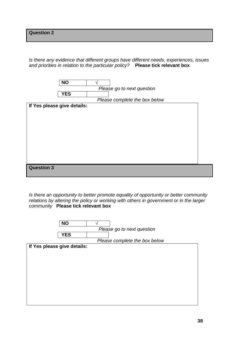Is there any evidence that different groups have different needs, experiences, issues and priorities in relation to the particular policy? **Please tick relevant box** 



Is there an opportunity to better promote equality of opportunity or better community relations by altering the policy or working with others in government or in the larger community **Please tick relevant box** 

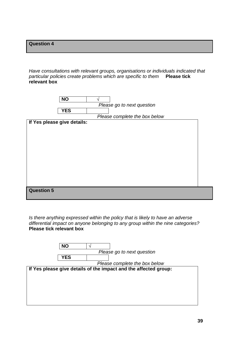Have consultations with relevant groups, organisations or individuals indicated that particular policies create problems which are specific to them **Please tick relevant box** 



Is there anything expressed within the policy that is likely to have an adverse differential impact on anyone belonging to any group within the nine categories? **Please tick relevant box** 

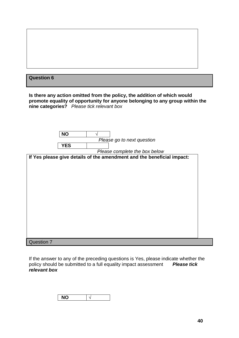| <b>Question 6</b>                                                                                                                                                                                     |
|-------------------------------------------------------------------------------------------------------------------------------------------------------------------------------------------------------|
|                                                                                                                                                                                                       |
| Is there any action omitted from the policy, the addition of which would<br>promote equality of opportunity for anyone belonging to any group within the<br>nine categories? Please tick relevant box |
|                                                                                                                                                                                                       |
|                                                                                                                                                                                                       |
| <b>NO</b><br>V                                                                                                                                                                                        |
| Please go to next question<br><b>YES</b>                                                                                                                                                              |
| Please complete the box below                                                                                                                                                                         |
| If Yes please give details of the amendment and the beneficial impact:                                                                                                                                |
|                                                                                                                                                                                                       |
|                                                                                                                                                                                                       |
|                                                                                                                                                                                                       |
|                                                                                                                                                                                                       |
|                                                                                                                                                                                                       |
|                                                                                                                                                                                                       |
|                                                                                                                                                                                                       |
|                                                                                                                                                                                                       |
|                                                                                                                                                                                                       |
|                                                                                                                                                                                                       |
|                                                                                                                                                                                                       |
| <b>Question 7</b>                                                                                                                                                                                     |

If the answer to any of the preceding questions is Yes, please indicate whether the policy should be submitted to a full equality impact assessment **Please tick relevant box** 

| - |  |
|---|--|
|---|--|